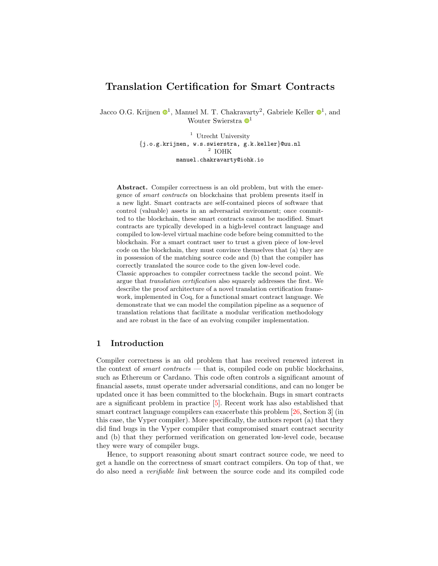# Translation Certification for Smart Contracts

Jacco O.G. Krijnen  $\mathbb{O}^1$  $\mathbb{O}^1$ , Manuel M. T. Chakravarty<sup>2</sup>, Gabriele Keller  $\mathbb{O}^1$ , and Wouter Swierstra  $\mathbf{P}^1$  $\mathbf{P}^1$ 

> <sup>1</sup> Utrecht University {j.o.g.krijnen, w.s.swierstra, g.k.keller}@uu.nl 2 IOHK manuel.chakravarty@iohk.io

Abstract. Compiler correctness is an old problem, but with the emergence of smart contracts on blockchains that problem presents itself in a new light. Smart contracts are self-contained pieces of software that control (valuable) assets in an adversarial environment; once committed to the blockchain, these smart contracts cannot be modified. Smart contracts are typically developed in a high-level contract language and compiled to low-level virtual machine code before being committed to the blockchain. For a smart contract user to trust a given piece of low-level code on the blockchain, they must convince themselves that (a) they are in possession of the matching source code and (b) that the compiler has correctly translated the source code to the given low-level code. Classic approaches to compiler correctness tackle the second point. We argue that translation certification also squarely addresses the first. We describe the proof architecture of a novel translation certification framework, implemented in Coq, for a functional smart contract language. We demonstrate that we can model the compilation pipeline as a sequence of translation relations that facilitate a modular verification methodology and are robust in the face of an evolving compiler implementation.

# 1 Introduction

Compiler correctness is an old problem that has received renewed interest in the context of *smart contracts*  $-$  that is, compiled code on public blockchains, such as Ethereum or Cardano. This code often controls a significant amount of financial assets, must operate under adversarial conditions, and can no longer be updated once it has been committed to the blockchain. Bugs in smart contracts are a significant problem in practice [\[5\]](#page-16-0). Recent work has also established that smart contract language compilers can exacerbate this problem [\[26,](#page-17-0) Section 3] (in this case, the Vyper compiler). More specifically, the authors report (a) that they did find bugs in the Vyper compiler that compromised smart contract security and (b) that they performed verification on generated low-level code, because they were wary of compiler bugs.

Hence, to support reasoning about smart contract source code, we need to get a handle on the correctness of smart contract compilers. On top of that, we do also need a verifiable link between the source code and its compiled code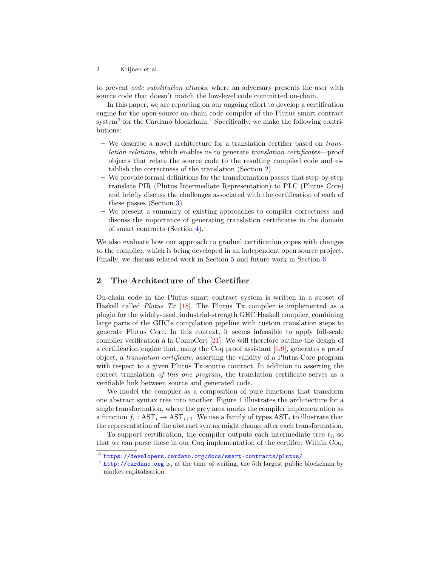to prevent code substitution attacks, where an adversary presents the user with source code that doesn't match the low-level code committed on-chain.

In this paper, we are reporting on our ongoing effort to develop a certification engine for the open-source on-chain code compiler of the Plutus smart contract system<sup>[3](#page-1-0)</sup> for the Cardano blockchain.<sup>[4](#page-1-1)</sup> Specifically, we make the following contributions:

- We describe a novel architecture for a translation certifier based on translation relations, which enables us to generate translation certificates—proof objects that relate the source code to the resulting compiled code and establish the correctness of the translation (Section [2\)](#page-1-2).
- We provide formal definitions for the transformation passes that step-by-step translate PIR (Plutus Intermediate Representation) to PLC (Plutus Core) and briefly discuss the challenges associated with the certification of each of these passes (Section [3\)](#page-5-0).
- We present a summary of existing approaches to compiler correctness and discuss the importance of generating translation certificates in the domain of smart contracts (Section [4\)](#page-11-0).

We also evaluate how our approach to gradual certification copes with changes to the compiler, which is being developed in an independent open source project. Finally, we discuss related work in Section [5](#page-14-0) and future work in Section [6.](#page-15-0)

# <span id="page-1-2"></span>2 The Architecture of the Certifier

On-chain code in the Plutus smart contract system is written in a subset of Haskell called *Plutus Tx*  $[18]$ . The Plutus Tx compiler is implemented as a plugin for the widely-used, industrial-strength GHC Haskell compiler, combining large parts of the GHC's compilation pipeline with custom translation steps to generate Plutus Core. In this context, it seems infeasible to apply full-scale compiler verification à la CompCert  $[21]$ . We will therefore outline the design of a certification engine that, using the Coq proof assistant  $[6,9]$  $[6,9]$ , generates a proof object, a translation certificate, asserting the validity of a Plutus Core program with respect to a given Plutus Tx source contract. In addition to asserting the correct translation of this one program, the translation certificate serves as a verifiable link between source and generated code.

We model the compiler as a composition of pure functions that transform one abstract syntax tree into another. Figure [1](#page-2-0) illustrates the architecture for a single transformation, where the grey area marks the compiler implementation as a function  $f_i: \text{AST}_i \to \text{AST}_{i+1}$ . We use a family of types  $\text{AST}_i$  to illustrate that the representation of the abstract syntax might change after each transformation.

To support certification, the compiler outputs each intermediate tree  $t_i$ , so that we can parse these in our Coq implementation of the certifier. Within Coq,

<sup>2</sup> Krijnen et al.

<span id="page-1-0"></span> $^3$  <https://developers.cardano.org/docs/smart-contracts/plutus/>

<span id="page-1-1"></span><sup>&</sup>lt;sup>4</sup> <http://cardano.org> is, at the time of writing, the 5th largest public blockchain by market capitalisation.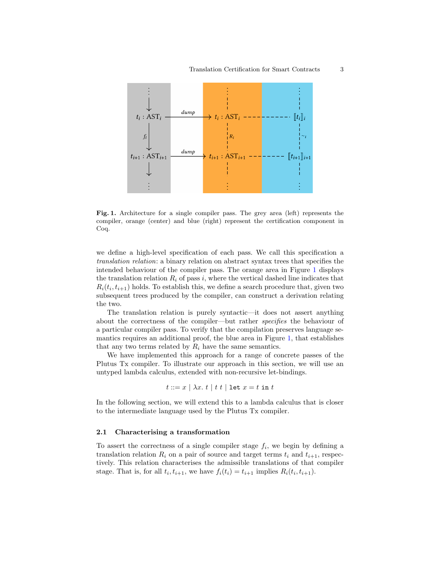

<span id="page-2-0"></span>Fig. 1. Architecture for a single compiler pass. The grey area (left) represents the compiler, orange (center) and blue (right) represent the certification component in Coq.

we define a high-level specification of each pass. We call this specification a translation relation: a binary relation on abstract syntax trees that specifies the intended behaviour of the compiler pass. The orange area in Figure [1](#page-2-0) displays the translation relation  $R_i$  of pass i, where the vertical dashed line indicates that  $R_i(t_i, t_{i+1})$  holds. To establish this, we define a search procedure that, given two subsequent trees produced by the compiler, can construct a derivation relating the two.

The translation relation is purely syntactic—it does not assert anything about the correctness of the compiler—but rather specifies the behaviour of a particular compiler pass. To verify that the compilation preserves language semantics requires an additional proof, the blue area in Figure [1,](#page-2-0) that establishes that any two terms related by  $R_i$  have the same semantics.

We have implemented this approach for a range of concrete passes of the Plutus Tx compiler. To illustrate our approach in this section, we will use an untyped lambda calculus, extended with non-recursive let-bindings.

$$
t ::= x \mid \lambda x. t \mid t \mid t \mid \text{let } x = t \text{ in } t
$$

In the following section, we will extend this to a lambda calculus that is closer to the intermediate language used by the Plutus Tx compiler.

#### <span id="page-2-1"></span>2.1 Characterising a transformation

To assert the correctness of a single compiler stage  $f_i$ , we begin by defining a translation relation  $R_i$  on a pair of source and target terms  $t_i$  and  $t_{i+1}$ , respectively. This relation characterises the admissible translations of that compiler stage. That is, for all  $t_i, t_{i+1}$ , we have  $f_i(t_i) = t_{i+1}$  implies  $R_i(t_i, t_{i+1})$ .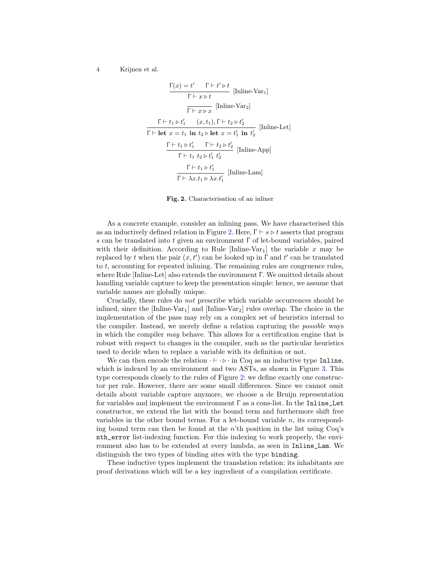$$
\frac{\Gamma(x) = t' \quad \Gamma \vdash t' \triangleright t}{\Gamma \vdash x \triangleright t} \quad \text{[Inline-Var_1]}
$$
\n
$$
\frac{\Gamma \vdash x \triangleright t}{\Gamma \vdash x \triangleright x} \quad \text{[Inline-Var_2]}
$$
\n
$$
\frac{\Gamma \vdash t_1 \triangleright t_1' \quad (x, t_1), \Gamma \vdash t_2 \triangleright t_2'}{\Gamma \vdash \text{let } x = t_1 \text{ in } t_2 \triangleright \text{let } x = t_1' \text{ in } t_2'} \quad \text{[Inline-Let]}
$$
\n
$$
\frac{\Gamma \vdash t_1 \triangleright t_1' \quad \Gamma \vdash t_2 \triangleright t_2'}{\Gamma \vdash t_1 \ t_2 \triangleright t_1' \ t_2'} \quad \text{[Inline-App]}
$$
\n
$$
\frac{\Gamma \vdash t_1 \triangleright t_1'}{\Gamma \vdash \lambda x. t_1 \triangleright \lambda x. t_1'} \quad \text{[Inline-Lam]}
$$

Fig. 2. Characterisation of an inliner

<span id="page-3-0"></span>As a concrete example, consider an inlining pass. We have characterised this as an inductively defined relation in Figure [2.](#page-3-0) Here,  $\Gamma \vdash s \triangleright t$  asserts that program s can be translated into t given an environment  $\Gamma$  of let-bound variables, paired with their definition. According to Rule [Inline-Var<sub>1</sub>] the variable x may be replaced by t when the pair  $(x, t')$  can be looked up in  $\Gamma$  and  $t'$  can be translated to t, accounting for repeated inlining. The remaining rules are congruence rules, where Rule [Inline-Let] also extends the environment Γ . We omitted details about handling variable capture to keep the presentation simple: hence, we assume that variable names are globally unique.

Crucially, these rules do not prescribe which variable occurrences should be inlined, since the  $\text{[Inline-Var}_1\text{]}$  and  $\text{[Inline-Var}_2\text{]}$  rules overlap. The choice in the implementation of the pass may rely on a complex set of heuristics internal to the compiler. Instead, we merely define a relation capturing the possible ways in which the compiler may behave. This allows for a certification engine that is robust with respect to changes in the compiler, such as the particular heuristics used to decide when to replace a variable with its definition or not.

We can then encode the relation  $\cdot \vdash \cdot \triangleright \cdot$  in Coq as an inductive type Inline, which is indexed by an environment and two ASTs, as shown in Figure [3.](#page-4-0) This type corresponds closely to the rules of Figure [2:](#page-3-0) we define exactly one constructor per rule. However, there are some small differences. Since we cannot omit details about variable capture anymore, we choose a de Bruijn representation for variables and implement the environment  $\Gamma$  as a cons-list. In the Inline<sub>Let</sub> constructor, we extend the list with the bound term and furthermore shift free variables in the other bound terms. For a let-bound variable  $n$ , its corresponding bound term can then be found at the  $n<sup>i</sup>$ th position in the list using Coq's nth\_error list-indexing function. For this indexing to work properly, the environment also has to be extended at every lambda, as seen in Inline\_Lam. We distinguish the two types of binding sites with the type binding.

These inductive types implement the translation relation: its inhabitants are proof derivations which will be a key ingredient of a compilation certificate.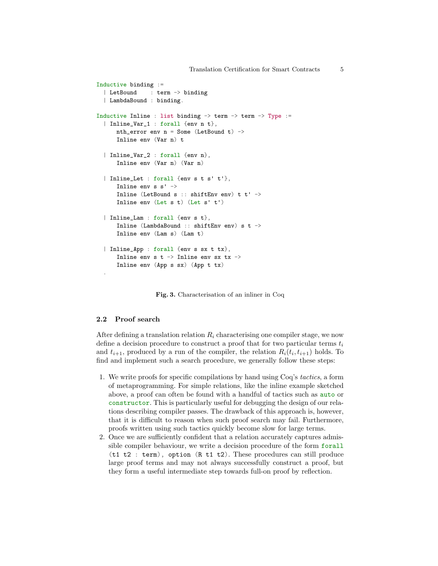```
Inductive binding :=
  | LetBound : term -> binding
  | LambdaBound : binding.
Inductive Inline : list binding \rightarrow term \rightarrow term \rightarrow Type :=
  | Inline_Var_1 : forall {env n t},
      nth_error env n = Some (LetBound t) \rightarrowInline env (Var n) t
  | Inline_Var_2 : forall {env n},
      Inline env (Var n) (Var n)
  | Inline_Let : forall {env s t s' t'},
      Inline env s s' ->
      Inline (LetBound s :: shiftEnv env) t t' ->
      Inline env (Let s t) (Let s' t')
  | Inline_Lam : forall {env s t},
      Inline (LambdaBound :: shiftEnv env) s t ->
      Inline env (Lam s) (Lam t)
  | Inline_App : forall {env s sx t tx},
      Inline env s t \rightarrow Inline env sx tx \rightarrowInline env (App s sx) (App t tx)
  .
```
Fig. 3. Characterisation of an inliner in Coq

### <span id="page-4-0"></span>2.2 Proof search

After defining a translation relation  $R_i$  characterising one compiler stage, we now define a decision procedure to construct a proof that for two particular terms  $t_i$ and  $t_{i+1}$ , produced by a run of the compiler, the relation  $R_i(t_i, t_{i+1})$  holds. To find and implement such a search procedure, we generally follow these steps:

- 1. We write proofs for specific compilations by hand using Coq's tactics, a form of metaprogramming. For simple relations, like the inline example sketched above, a proof can often be found with a handful of tactics such as auto or constructor. This is particularly useful for debugging the design of our relations describing compiler passes. The drawback of this approach is, however, that it is difficult to reason when such proof search may fail. Furthermore, proofs written using such tactics quickly become slow for large terms.
- 2. Once we are sufficiently confident that a relation accurately captures admissible compiler behaviour, we write a decision procedure of the form forall (t1 t2 : term), option (R t1 t2). These procedures can still produce large proof terms and may not always successfully construct a proof, but they form a useful intermediate step towards full-on proof by reflection.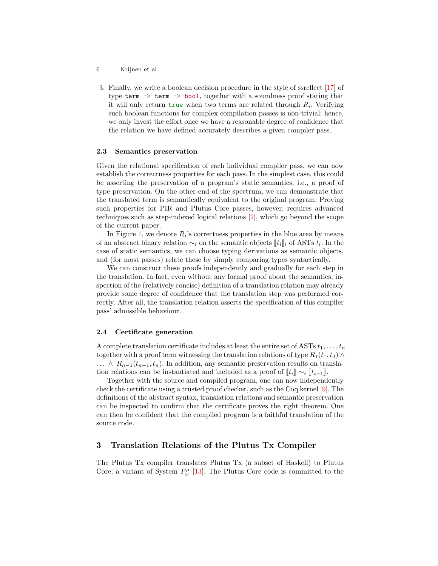- 6 Krijnen et al.
- 3. Finally, we write a boolean decision procedure in the style of ssreflect [\[17\]](#page-16-5) of type term -> term -> bool, together with a soundness proof stating that it will only return  $true$  when two terms are related through  $R_i$ . Verifying such boolean functions for complex compilation passes is non-trivial; hence, we only invest the effort once we have a reasonable degree of confidence that the relation we have defined accurately describes a given compiler pass.

#### 2.3 Semantics preservation

Given the relational specification of each individual compiler pass, we can now establish the correctness properties for each pass. In the simplest case, this could be asserting the preservation of a program's static semantics, i.e., a proof of type preservation. On the other end of the spectrum, we can demonstrate that the translated term is semantically equivalent to the original program. Proving such properties for PIR and Plutus Core passes, however, requires advanced techniques such as step-indexed logical relations [\[2\]](#page-15-1), which go beyond the scope of the current paper.

In Figure [1,](#page-2-0) we denote  $R_i$ 's correctness properties in the blue area by means of an abstract binary relation  $\sim_i$  on the semantic objects  $[[t_i]]_i$  of ASTs  $t_i$ . In the case of static semantics, we can choose typing derivations as semantic objects, and (for most passes) relate these by simply comparing types syntactically.

We can construct these proofs independently and gradually for each step in the translation. In fact, even without any formal proof about the semantics, inspection of the (relatively concise) definition of a translation relation may already provide some degree of confidence that the translation step was performed correctly. After all, the translation relation asserts the specification of this compiler pass' admissible behaviour.

#### 2.4 Certificate generation

A complete translation certificate includes at least the entire set of ASTs  $t_1, \ldots, t_n$ together with a proof term witnessing the translation relations of type  $R_1(t_1, t_2) \wedge$  $\ldots \wedge R_{n-1}(t_{n-1}, t_n)$ . In addition, any semantic preservation results on translation relations can be instantiated and included as a proof of  $[[t_i]] \sim_i [[t_{i+1}]]$ .

Together with the source and compiled program, one can now independently check the certificate using a trusted proof checker, such as the Coq kernel [\[9\]](#page-16-4). The definitions of the abstract syntax, translation relations and semantic preservation can be inspected to confirm that the certificate proves the right theorem. One can then be confident that the compiled program is a faithful translation of the source code.

# <span id="page-5-0"></span>3 Translation Relations of the Plutus Tx Compiler

The Plutus Tx compiler translates Plutus Tx (a subset of Haskell) to Plutus Core, a variant of System  $F^{\mu}_{\omega}$  [\[13\]](#page-16-6). The Plutus Core code is committed to the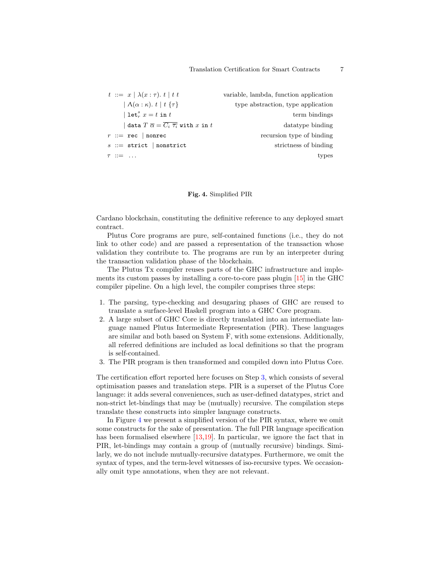| $t := x \mid \lambda(x : \tau)$ . $t \mid t \mid t$                | variable, lambda, function application |
|--------------------------------------------------------------------|----------------------------------------|
| $\Lambda(\alpha:\kappa). t \mid t \{\tau\}$                        | type abstraction, type application     |
| $\int$ let <sub>r</sub> <sup>s</sup> $x = t$ in t                  | term bindings                          |
| data $T \overline{\alpha} = C_i \overline{\tau_i}$ with $x$ in $t$ | datatype binding                       |
| $r ::= \text{rec} \mid \text{nonrec}$                              | recursion type of binding              |
| $s ::=$ strict   nonstrict                                         | strictness of binding                  |
| $\tau$ ::=                                                         | types                                  |

#### Fig. 4. Simplified PIR

<span id="page-6-1"></span>Cardano blockchain, constituting the definitive reference to any deployed smart contract.

Plutus Core programs are pure, self-contained functions (i.e., they do not link to other code) and are passed a representation of the transaction whose validation they contribute to. The programs are run by an interpreter during the transaction validation phase of the blockchain.

The Plutus Tx compiler reuses parts of the GHC infrastructure and implements its custom passes by installing a core-to-core pass plugin [\[15\]](#page-16-7) in the GHC compiler pipeline. On a high level, the compiler comprises three steps:

- 1. The parsing, type-checking and desugaring phases of GHC are reused to translate a surface-level Haskell program into a GHC Core program.
- 2. A large subset of GHC Core is directly translated into an intermediate language named Plutus Intermediate Representation (PIR). These languages are similar and both based on System F, with some extensions. Additionally, all referred definitions are included as local definitions so that the program is self-contained.
- <span id="page-6-0"></span>3. The PIR program is then transformed and compiled down into Plutus Core.

The certification effort reported here focuses on Step [3,](#page-6-0) which consists of several optimisation passes and translation steps. PIR is a superset of the Plutus Core language: it adds several conveniences, such as user-defined datatypes, strict and non-strict let-bindings that may be (mutually) recursive. The compilation steps translate these constructs into simpler language constructs.

In Figure [4](#page-6-1) we present a simplified version of the PIR syntax, where we omit some constructs for the sake of presentation. The full PIR language specification has been formalised elsewhere [\[13,](#page-16-6)[19\]](#page-16-8). In particular, we ignore the fact that in PIR, let-bindings may contain a group of (mutually recursive) bindings. Similarly, we do not include mutually-recursive datatypes. Furthermore, we omit the syntax of types, and the term-level witnesses of iso-recursive types. We occasionally omit type annotations, when they are not relevant.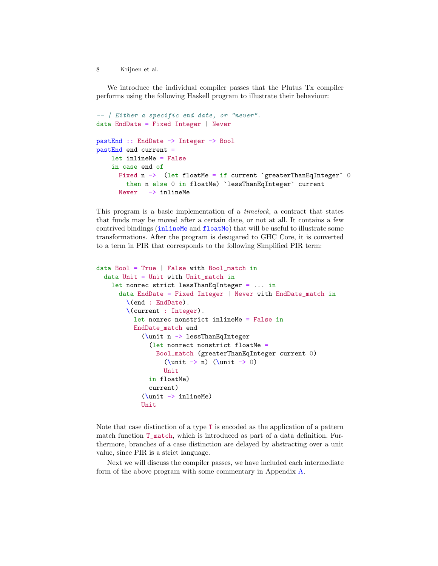We introduce the individual compiler passes that the Plutus Tx compiler performs using the following Haskell program to illustrate their behaviour:

```
-- | Either a specific end date, or "never".
data EndDate = Fixed Integer | NeverpastEnd :: EndDate -> Integer -> Bool
pastEnd end current =
    let inlineMe = False
    in case end of
     Fixed n \rightarrow (let floatMe = if current `greaterThanEqInteger` 0
        then n else 0 in floatMe) `lessThanEqInteger` current
      Never -> inlineMe
```
This program is a basic implementation of a timelock, a contract that states that funds may be moved after a certain date, or not at all. It contains a few contrived bindings (inlineMe and floatMe) that will be useful to illustrate some transformations. After the program is desugared to GHC Core, it is converted to a term in PIR that corresponds to the following Simplified PIR term:

```
data Bool = True | False with Bool_match in
  data Unit = Unit with Unit_match in
    let nonrec strict lessThanEqInteger = ... in
      data EndDate = Fixed Integer | Never with EndDate_match in
        \(end : EndDate).
        \(current : Integer).
          let nonrec nonstrict inlineMe = False in
          EndDate_match end
            (\unit n -> lessThanEqInteger
              (let nonrect nonstrict floatMe =
                Bool_match (greaterThanEqInteger current 0)
                  (\unit -> n) (\unit -> 0)Unit
              in floatMe)
              current)
            (\unit -> inlineMe)
            Unit
```
Note that case distinction of a type T is encoded as the application of a pattern match function T\_match, which is introduced as part of a data definition. Furthermore, branches of a case distinction are delayed by abstracting over a unit value, since PIR is a strict language.

Next we will discuss the compiler passes, we have included each intermediate form of the above program with some commentary in Appendix [A.](#page-18-0)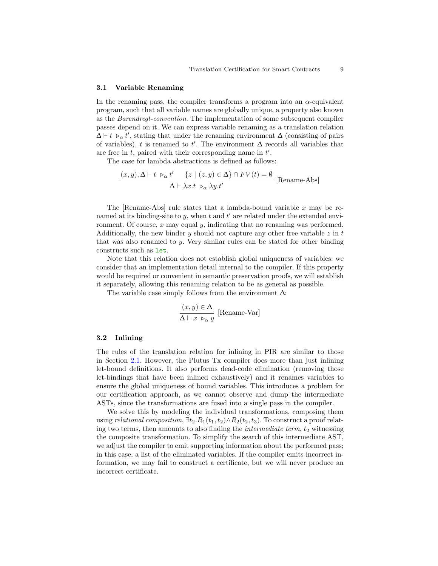#### 3.1 Variable Renaming

In the renaming pass, the compiler transforms a program into an  $\alpha$ -equivalent program, such that all variable names are globally unique, a property also known as the Barendregt-convention. The implementation of some subsequent compiler passes depend on it. We can express variable renaming as a translation relation  $\Delta \vdash t \geq \alpha t'$ , stating that under the renaming environment  $\Delta$  (consisting of pairs of variables), t is renamed to t'. The environment  $\Delta$  records all variables that are free in  $t$ , paired with their corresponding name in  $t'$ .

The case for lambda abstractions is defined as follows:

$$
\frac{(x,y),\Delta\vdash t\ \triangleright_\alpha t'\quad \ \{z\ |\ (z,y)\in\Delta\}\cap FV(t)=\emptyset}{\Delta\vdash \lambda x.t\ \triangleright_\alpha \lambda y.t'}\ \ \text{[Rename-Abs]}
$$

The [Rename-Abs] rule states that a lambda-bound variable  $x$  may be renamed at its binding-site to  $y$ , when  $t$  and  $t'$  are related under the extended environment. Of course,  $x$  may equal  $y$ , indicating that no renaming was performed. Additionally, the new binder y should not capture any other free variable  $z$  in  $t$ that was also renamed to y. Very similar rules can be stated for other binding constructs such as let.

Note that this relation does not establish global uniqueness of variables: we consider that an implementation detail internal to the compiler. If this property would be required or convenient in semantic preservation proofs, we will establish it separately, allowing this renaming relation to be as general as possible.

The variable case simply follows from the environment  $\Delta$ :

$$
\frac{(x,y)\in\Delta}{\Delta\vdash x\ \triangleright_\alpha y}\ \text{[Rename-Var]}
$$

#### 3.2 Inlining

The rules of the translation relation for inlining in PIR are similar to those in Section [2.1.](#page-2-1) However, the Plutus Tx compiler does more than just inlining let-bound definitions. It also performs dead-code elimination (removing those let-bindings that have been inlined exhaustively) and it renames variables to ensure the global uniqueness of bound variables. This introduces a problem for our certification approach, as we cannot observe and dump the intermediate ASTs, since the transformations are fused into a single pass in the compiler.

We solve this by modeling the individual transformations, composing them using relational composition,  $\exists t_2.R_1(t_1,t_2)\wedge R_2(t_2,t_3)$ . To construct a proof relating two terms, then amounts to also finding the *intermediate term*,  $t_2$  witnessing the composite transformation. To simplify the search of this intermediate AST, we adjust the compiler to emit supporting information about the performed pass; in this case, a list of the eliminated variables. If the compiler emits incorrect information, we may fail to construct a certificate, but we will never produce an incorrect certificate.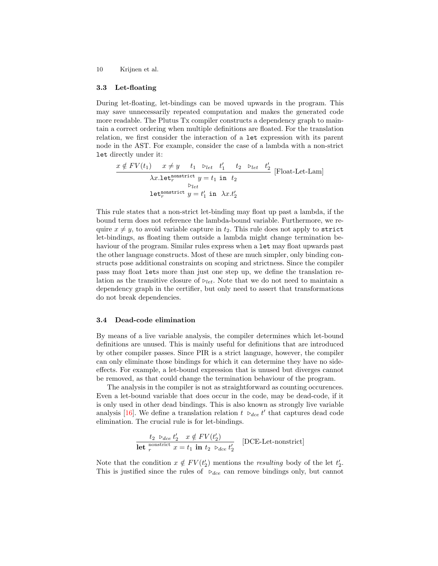#### <span id="page-9-0"></span>3.3 Let-floating

During let-floating, let-bindings can be moved upwards in the program. This may save unnecessarily repeated computation and makes the generated code more readable. The Plutus Tx compiler constructs a dependency graph to maintain a correct ordering when multiple definitions are floated. For the translation relation, we first consider the interaction of a let expression with its parent node in the AST. For example, consider the case of a lambda with a non-strict let directly under it:

$$
\frac{x \notin FV(t_1) \qquad x \neq y \qquad t_1 \quad \text{Let } t_1 \qquad t_2 \quad \text{Let } t_2 \qquad \text{[Float-Let-Lam]}}
$$
\n
$$
\lambda x. \text{Let}_r^{\text{nonstrict}} y = t_1 \text{ in } t_2
$$
\n
$$
\text{let}_r^{\text{nonstrict}} y = t_1' \text{ in } \lambda x. t_2'
$$

This rule states that a non-strict let-binding may float up past a lambda, if the bound term does not reference the lambda-bound variable. Furthermore, we require  $x \neq y$ , to avoid variable capture in  $t_2$ . This rule does not apply to strict let-bindings, as floating them outside a lambda might change termination behaviour of the program. Similar rules express when a let may float upwards past the other language constructs. Most of these are much simpler, only binding constructs pose additional constraints on scoping and strictness. Since the compiler pass may float lets more than just one step up, we define the translation relation as the transitive closure of  $\rho_{let}$ . Note that we do not need to maintain a dependency graph in the certifier, but only need to assert that transformations do not break dependencies.

#### 3.4 Dead-code elimination

By means of a live variable analysis, the compiler determines which let-bound definitions are unused. This is mainly useful for definitions that are introduced by other compiler passes. Since PIR is a strict language, however, the compiler can only eliminate those bindings for which it can determine they have no sideeffects. For example, a let-bound expression that is unused but diverges cannot be removed, as that could change the termination behaviour of the program.

The analysis in the compiler is not as straightforward as counting occurences. Even a let-bound variable that does occur in the code, may be dead-code, if it is only used in other dead bindings. This is also known as strongly live variable analysis [\[16\]](#page-16-9). We define a translation relation  $t \partial_{\text{dec}} t'$  that captures dead code elimination. The crucial rule is for let-bindings.

$$
\frac{t_2 \triangleright_{dec} t_2'}{\text{let }_{r}^{\text{nonstrict}}} \frac{x \notin FV(t_2')}{x = t_1 \text{ in } t_2 \triangleright_{dec} t_2'} \quad [\text{DCE-Let-nonstrict}]
$$

Note that the condition  $x \notin FV(t'_2)$  mentions the *resulting* body of the let  $t'_2$ . This is justified since the rules of  $\rho_{dec}$  can remove bindings only, but cannot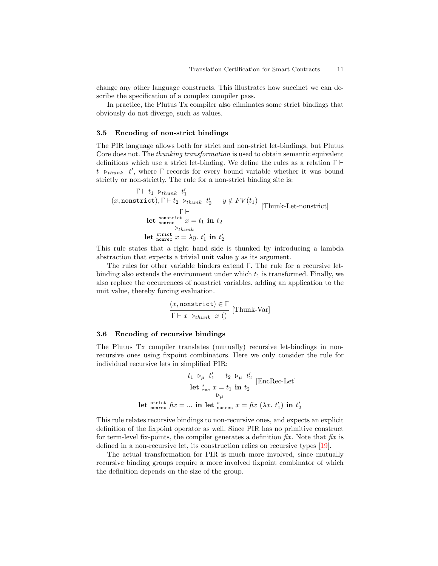change any other language constructs. This illustrates how succinct we can describe the specification of a complex compiler pass.

In practice, the Plutus Tx compiler also eliminates some strict bindings that obviously do not diverge, such as values.

### 3.5 Encoding of non-strict bindings

The PIR language allows both for strict and non-strict let-bindings, but Plutus Core does not. The thunking transformation is used to obtain semantic equivalent definitions which use a strict let-binding. We define the rules as a relation  $\Gamma \vdash$  $t \geq_{thunk} t'$ , where  $\Gamma$  records for every bound variable whether it was bound strictly or non-strictly. The rule for a non-strict binding site is:

$$
\begin{array}{c}\n\Gamma \vdash t_1 \triangleright_{thunk} t_1' \\
\hline\n(x, \text{nonstrict}), \Gamma \vdash t_2 \triangleright_{thunk} t_2' \quad y \notin FV(t_1) \\
\hline\n\Gamma \vdash \\
\text{let }^{\text{nonstrict}}_{\text{nonrec}} x = t_1 \text{ in } t_2 \\
\text{let }^{\text{thunk}}_{\text{nonrec}} x = \lambda y. t_1' \text{ in } t_2'\n\end{array}
$$

This rule states that a right hand side is thunked by introducing a lambda abstraction that expects a trivial unit value y as its argument.

The rules for other variable binders extend Γ . The rule for a recursive letbinding also extends the environment under which  $t_1$  is transformed. Finally, we also replace the occurrences of nonstrict variables, adding an application to the unit value, thereby forcing evaluation.

$$
\frac{(x, \text{nonstrict}) \in \Gamma}{\Gamma \vdash x \; \triangleright_{thunk} \; x \; ()}
$$
 [Thunk-Var]

### 3.6 Encoding of recursive bindings

The Plutus Tx compiler translates (mutually) recursive let-bindings in nonrecursive ones using fixpoint combinators. Here we only consider the rule for individual recursive lets in simplified PIR:

$$
\frac{t_1 \triangleright_{\mu} t_1'}{\text{let } \frac{s}{\text{rec}} x = t_1 \text{ in } t_2} \text{ [EncRec-Let]}
$$
  
let 
$$
\frac{\triangleright_{\mu}}{\text{lower}} \text{ f x = ... in let } \frac{\triangleright_{\mu}}{\text{lower}} x = \text{fix } (\lambda x. t_1') \text{ in } t_2'
$$

This rule relates recursive bindings to non-recursive ones, and expects an explicit definition of the fixpoint operator as well. Since PIR has no primitive construct for term-level fix-points, the compiler generates a definition fix. Note that fix is defined in a non-recursive let, its construction relies on recursive types [\[19\]](#page-16-8).

The actual transformation for PIR is much more involved, since mutually recursive binding groups require a more involved fixpoint combinator of which the definition depends on the size of the group.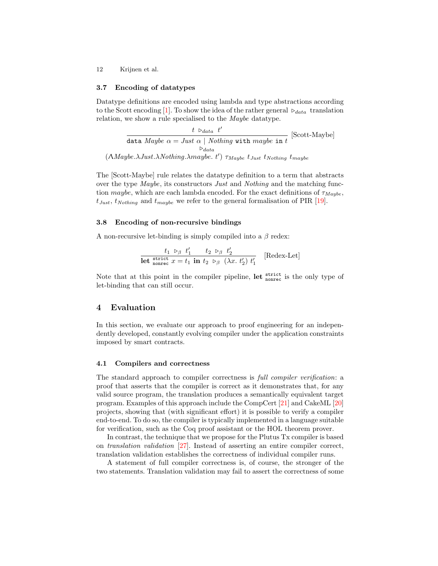### 3.7 Encoding of datatypes

Datatype definitions are encoded using lambda and type abstractions according to the Scott encoding [\[1\]](#page-15-2). To show the idea of the rather general  $\triangleright_{data}$  translation relation, we show a rule specialised to the Maybe datatype.

$$
t \rightarrow_{data} t'
$$
  
data *Maybe*  $\alpha = Just \alpha \mid Nothing \text{ with } maybe \text{ in } t$  [Scott-Maybe]  

$$
(\Delta Maybe.\lambda Just.\lambda Nothing.\lambda maybe. t') \uparrow_{Maybe} t_{Just} \uparrow_{Notbing} t_{maybe}
$$

The [Scott-Maybe] rule relates the datatype definition to a term that abstracts over the type Maybe, its constructors Just and Nothing and the matching function maybe, which are each lambda encoded. For the exact definitions of  $\tau_{Maybe}$ ,  $t_{Just}$ ,  $t_{Nothing}$  and  $t_{maybe}$  we refer to the general formalisation of PIR [\[19\]](#page-16-8).

#### 3.8 Encoding of non-recursive bindings

A non-recursive let-binding is simply compiled into a  $\beta$  redex:

$$
\frac{t_1 \bowtie_{\beta} t_1'}{\text{let }^{\text{strict}}_{\text{nonrec}} x = t_1 \text{ in } t_2 \bowtie_{\beta} (\lambda x. t_2') t_1'} \quad [\text{Redex-Let}]
$$

Note that at this point in the compiler pipeline, let  $_{\text{nonrec}}^{\text{strict}}$  is the only type of let-binding that can still occur.

### <span id="page-11-0"></span>4 Evaluation

In this section, we evaluate our approach to proof engineering for an independently developed, constantly evolving compiler under the application constraints imposed by smart contracts.

#### 4.1 Compilers and correctness

The standard approach to compiler correctness is *full compiler verification*: a proof that asserts that the compiler is correct as it demonstrates that, for any valid source program, the translation produces a semantically equivalent target program. Examples of this approach include the CompCert [\[21\]](#page-16-2) and CakeML [\[20\]](#page-16-10) projects, showing that (with significant effort) it is possible to verify a compiler end-to-end. To do so, the compiler is typically implemented in a language suitable for verification, such as the Coq proof assistant or the HOL theorem prover.

In contrast, the technique that we propose for the Plutus Tx compiler is based on translation validation [\[27\]](#page-17-1). Instead of asserting an entire compiler correct, translation validation establishes the correctness of individual compiler runs.

A statement of full compiler correctness is, of course, the stronger of the two statements. Translation validation may fail to assert the correctness of some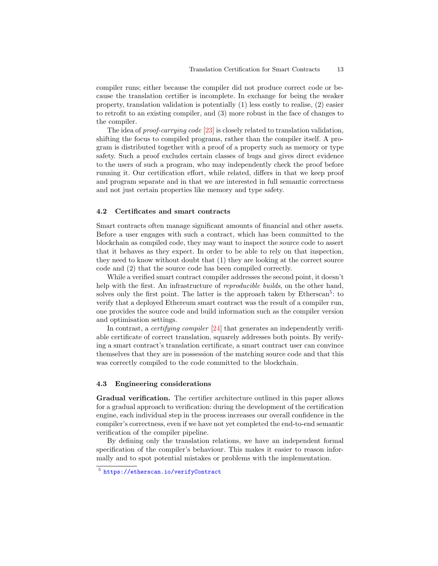compiler runs; either because the compiler did not produce correct code or because the translation certifier is incomplete. In exchange for being the weaker property, translation validation is potentially (1) less costly to realise, (2) easier to retrofit to an existing compiler, and (3) more robust in the face of changes to the compiler.

The idea of *proof-carrying code* [\[23\]](#page-17-2) is closely related to translation validation, shifting the focus to compiled programs, rather than the compiler itself. A program is distributed together with a proof of a property such as memory or type safety. Such a proof excludes certain classes of bugs and gives direct evidence to the users of such a program, who may independently check the proof before running it. Our certification effort, while related, differs in that we keep proof and program separate and in that we are interested in full semantic correctness and not just certain properties like memory and type safety.

### 4.2 Certificates and smart contracts

Smart contracts often manage significant amounts of financial and other assets. Before a user engages with such a contract, which has been committed to the blockchain as compiled code, they may want to inspect the source code to assert that it behaves as they expect. In order to be able to rely on that inspection, they need to know without doubt that (1) they are looking at the correct source code and (2) that the source code has been compiled correctly.

While a verified smart contract compiler addresses the second point, it doesn't help with the first. An infrastructure of *reproducible builds*, on the other hand, solves only the first point. The latter is the approach taken by Etherscan<sup>[5](#page-12-0)</sup>: to verify that a deployed Ethereum smart contract was the result of a compiler run, one provides the source code and build information such as the compiler version and optimisation settings.

In contrast, a *certifying compiler* [\[24\]](#page-17-3) that generates an independently verifiable certificate of correct translation, squarely addresses both points. By verifying a smart contract's translation certificate, a smart contract user can convince themselves that they are in possession of the matching source code and that this was correctly compiled to the code committed to the blockchain.

#### 4.3 Engineering considerations

Gradual verification. The certifier architecture outlined in this paper allows for a gradual approach to verification: during the development of the certification engine, each individual step in the process increases our overall confidence in the compiler's correctness, even if we have not yet completed the end-to-end semantic verification of the compiler pipeline.

By defining only the translation relations, we have an independent formal specification of the compiler's behaviour. This makes it easier to reason informally and to spot potential mistakes or problems with the implementation.

<span id="page-12-0"></span><sup>5</sup> <https://etherscan.io/verifyContract>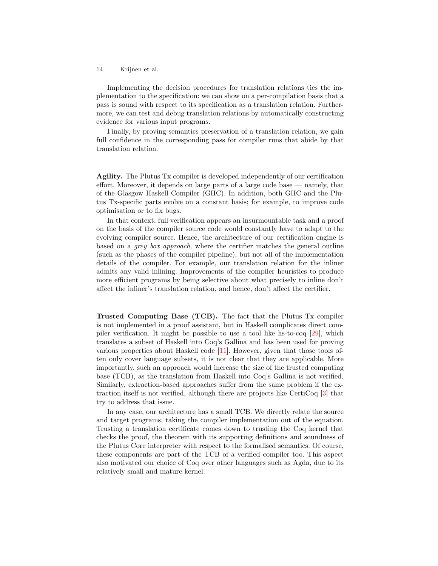Implementing the decision procedures for translation relations ties the implementation to the specification: we can show on a per-compilation basis that a pass is sound with respect to its specification as a translation relation. Furthermore, we can test and debug translation relations by automatically constructing evidence for various input programs.

Finally, by proving semantics preservation of a translation relation, we gain full confidence in the corresponding pass for compiler runs that abide by that translation relation.

Agility. The Plutus Tx compiler is developed independently of our certification effort. Moreover, it depends on large parts of a large code base — namely, that of the Glasgow Haskell Compiler (GHC). In addition, both GHC and the Plutus Tx-specific parts evolve on a constant basis; for example, to improve code optimisation or to fix bugs.

In that context, full verification appears an insurmountable task and a proof on the basis of the compiler source code would constantly have to adapt to the evolving compiler source. Hence, the architecture of our certification engine is based on a grey box approach, where the certifier matches the general outline (such as the phases of the compiler pipeline), but not all of the implementation details of the compiler. For example, our translation relation for the inliner admits any valid inlining. Improvements of the compiler heuristics to produce more efficient programs by being selective about what precisely to inline don't affect the inliner's translation relation, and hence, don't affect the certifier.

Trusted Computing Base (TCB). The fact that the Plutus Tx compiler is not implemented in a proof assistant, but in Haskell complicates direct compiler verification. It might be possible to use a tool like hs-to-coq [\[29\]](#page-17-4), which translates a subset of Haskell into Coq's Gallina and has been used for proving various properties about Haskell code [\[11\]](#page-16-11). However, given that those tools often only cover language subsets, it is not clear that they are applicable. More importantly, such an approach would increase the size of the trusted computing base (TCB), as the translation from Haskell into Coq's Gallina is not verified. Similarly, extraction-based approaches suffer from the same problem if the extraction itself is not verified, although there are projects like CertiCoq [\[3\]](#page-15-3) that try to address that issue.

In any case, our architecture has a small TCB. We directly relate the source and target programs, taking the compiler implementation out of the equation. Trusting a translation certificate comes down to trusting the Coq kernel that checks the proof, the theorem with its supporting definitions and soundness of the Plutus Core interpreter with respect to the formalised semantics. Of course, these components are part of the TCB of a verified compiler too. This aspect also motivated our choice of Coq over other languages such as Agda, due to its relatively small and mature kernel.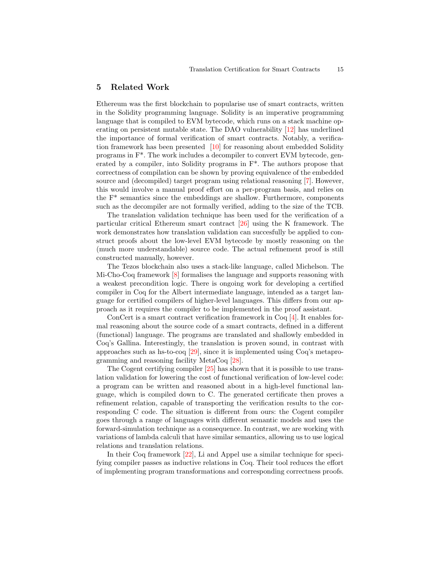### <span id="page-14-0"></span>5 Related Work

Ethereum was the first blockchain to popularise use of smart contracts, written in the Solidity programming language. Solidity is an imperative programming language that is compiled to EVM bytecode, which runs on a stack machine operating on persistent mutable state. The DAO vulnerability [\[12\]](#page-16-12) has underlined the importance of formal verification of smart contracts. Notably, a verification framework has been presented [\[10\]](#page-16-13) for reasoning about embedded Solidity programs in F\*. The work includes a decompiler to convert EVM bytecode, generated by a compiler, into Solidity programs in F\*. The authors propose that correctness of compilation can be shown by proving equivalence of the embedded source and (decompiled) target program using relational reasoning [\[7\]](#page-16-14). However, this would involve a manual proof effort on a per-program basis, and relies on the  $F^*$  semantics since the embeddings are shallow. Furthermore, components such as the decompiler are not formally verified, adding to the size of the TCB.

The translation validation technique has been used for the verification of a particular critical Ethereum smart contract [\[26\]](#page-17-0) using the K framework. The work demonstrates how translation validation can succesfully be applied to construct proofs about the low-level EVM bytecode by mostly reasoning on the (much more understandable) source code. The actual refinement proof is still constructed manually, however.

The Tezos blockchain also uses a stack-like language, called Michelson. The Mi-Cho-Coq framework [\[8\]](#page-16-15) formalises the language and supports reasoning with a weakest precondition logic. There is ongoing work for developing a certified compiler in Coq for the Albert intermediate language, intended as a target language for certified compilers of higher-level languages. This differs from our approach as it requires the compiler to be implemented in the proof assistant.

ConCert is a smart contract verification framework in Coq [\[4\]](#page-16-16). It enables formal reasoning about the source code of a smart contracts, defined in a different (functional) language. The programs are translated and shallowly embedded in Coq's Gallina. Interestingly, the translation is proven sound, in contrast with approaches such as hs-to-coq [\[29\]](#page-17-4), since it is implemented using Coq's metaprogramming and reasoning facility MetaCoq [\[28\]](#page-17-5).

The Cogent certifying compiler [\[25\]](#page-17-6) has shown that it is possible to use translation validation for lowering the cost of functional verification of low-level code: a program can be written and reasoned about in a high-level functional language, which is compiled down to C. The generated certificate then proves a refinement relation, capable of transporting the verification results to the corresponding C code. The situation is different from ours: the Cogent compiler goes through a range of languages with different semantic models and uses the forward-simulation technique as a consequence. In contrast, we are working with variations of lambda calculi that have similar semantics, allowing us to use logical relations and translation relations.

In their Coq framework [\[22\]](#page-16-17), Li and Appel use a similar technique for specifying compiler passes as inductive relations in Coq. Their tool reduces the effort of implementing program transformations and corresponding correctness proofs.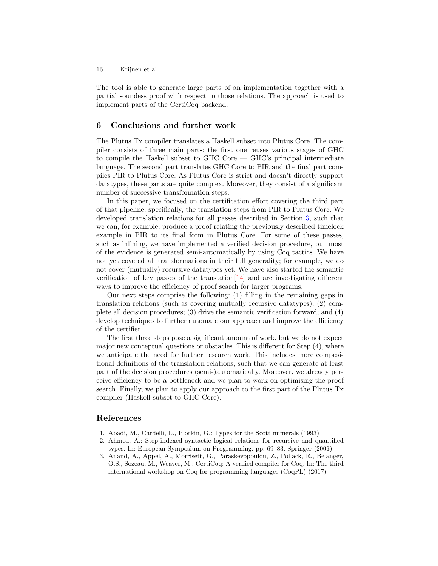The tool is able to generate large parts of an implementation together with a partial soundess proof with respect to those relations. The approach is used to implement parts of the CertiCoq backend.

# <span id="page-15-0"></span>6 Conclusions and further work

The Plutus Tx compiler translates a Haskell subset into Plutus Core. The compiler consists of three main parts: the first one reuses various stages of GHC to compile the Haskell subset to GHC Core — GHC's principal intermediate language. The second part translates GHC Core to PIR and the final part compiles PIR to Plutus Core. As Plutus Core is strict and doesn't directly support datatypes, these parts are quite complex. Moreover, they consist of a significant number of successive transformation steps.

In this paper, we focused on the certification effort covering the third part of that pipeline; specifically, the translation steps from PIR to Plutus Core. We developed translation relations for all passes described in Section [3,](#page-5-0) such that we can, for example, produce a proof relating the previously described timelock example in PIR to its final form in Plutus Core. For some of these passes, such as inlining, we have implemented a verified decision procedure, but most of the evidence is generated semi-automatically by using Coq tactics. We have not yet covered all transformations in their full generality; for example, we do not cover (mutually) recursive datatypes yet. We have also started the semantic verification of key passes of the translation $[14]$  and are investigating different ways to improve the efficiency of proof search for larger programs.

Our next steps comprise the following: (1) filling in the remaining gaps in translation relations (such as covering mutually recursive datatypes); (2) complete all decision procedures; (3) drive the semantic verification forward; and (4) develop techniques to further automate our approach and improve the efficiency of the certifier.

The first three steps pose a significant amount of work, but we do not expect major new conceptual questions or obstacles. This is different for Step (4), where we anticipate the need for further research work. This includes more compositional definitions of the translation relations, such that we can generate at least part of the decision procedures (semi-)automatically. Moreover, we already perceive efficiency to be a bottleneck and we plan to work on optimising the proof search. Finally, we plan to apply our approach to the first part of the Plutus Tx compiler (Haskell subset to GHC Core).

### References

- <span id="page-15-2"></span>1. Abadi, M., Cardelli, L., Plotkin, G.: Types for the Scott numerals (1993)
- <span id="page-15-1"></span>2. Ahmed, A.: Step-indexed syntactic logical relations for recursive and quantified types. In: European Symposium on Programming. pp. 69–83. Springer (2006)
- <span id="page-15-3"></span>3. Anand, A., Appel, A., Morrisett, G., Paraskevopoulou, Z., Pollack, R., Belanger, O.S., Sozeau, M., Weaver, M.: CertiCoq: A verified compiler for Coq. In: The third international workshop on Coq for programming languages (CoqPL) (2017)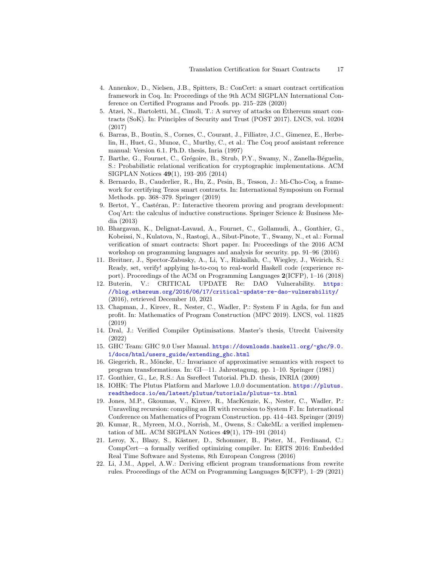- <span id="page-16-16"></span>4. Annenkov, D., Nielsen, J.B., Spitters, B.: ConCert: a smart contract certification framework in Coq. In: Proceedings of the 9th ACM SIGPLAN International Conference on Certified Programs and Proofs. pp. 215–228 (2020)
- <span id="page-16-0"></span>5. Atzei, N., Bartoletti, M., Cimoli, T.: A survey of attacks on Ethereum smart contracts (SoK). In: Principles of Security and Trust (POST 2017). LNCS, vol. 10204 (2017)
- <span id="page-16-3"></span>6. Barras, B., Boutin, S., Cornes, C., Courant, J., Filliatre, J.C., Gimenez, E., Herbelin, H., Huet, G., Munoz, C., Murthy, C., et al.: The Coq proof assistant reference manual: Version 6.1. Ph.D. thesis, Inria (1997)
- <span id="page-16-14"></span>7. Barthe, G., Fournet, C., Grégoire, B., Strub, P.Y., Swamy, N., Zanella-Béguelin, S.: Probabilistic relational verification for cryptographic implementations. ACM SIGPLAN Notices 49(1), 193–205 (2014)
- <span id="page-16-15"></span>8. Bernardo, B., Cauderlier, R., Hu, Z., Pesin, B., Tesson, J.: Mi-Cho-Coq, a framework for certifying Tezos smart contracts. In: International Symposium on Formal Methods. pp. 368–379. Springer (2019)
- <span id="page-16-4"></span>9. Bertot, Y., Castéran, P.: Interactive theorem proving and program development: Coq'Art: the calculus of inductive constructions. Springer Science & Business Media (2013)
- <span id="page-16-13"></span>10. Bhargavan, K., Delignat-Lavaud, A., Fournet, C., Gollamudi, A., Gonthier, G., Kobeissi, N., Kulatova, N., Rastogi, A., Sibut-Pinote, T., Swamy, N., et al.: Formal verification of smart contracts: Short paper. In: Proceedings of the 2016 ACM workshop on programming languages and analysis for security. pp. 91–96 (2016)
- <span id="page-16-11"></span>11. Breitner, J., Spector-Zabusky, A., Li, Y., Rizkallah, C., Wiegley, J., Weirich, S.: Ready, set, verify! applying hs-to-coq to real-world Haskell code (experience report). Proceedings of the ACM on Programming Languages 2(ICFP), 1–16 (2018)
- <span id="page-16-12"></span>12. Buterin, V.: CRITICAL UPDATE Re: DAO Vulnerability. [https:](https://blog.ethereum.org/2016/06/17/critical-update-re-dao-vulnerability/) [//blog.ethereum.org/2016/06/17/critical-update-re-dao-vulnerability/](https://blog.ethereum.org/2016/06/17/critical-update-re-dao-vulnerability/) (2016), retrieved December 10, 2021
- <span id="page-16-6"></span>13. Chapman, J., Kireev, R., Nester, C., Wadler, P.: System F in Agda, for fun and profit. In: Mathematics of Program Construction (MPC 2019). LNCS, vol. 11825 (2019)
- <span id="page-16-18"></span>14. Dral, J.: Verified Compiler Optimisations. Master's thesis, Utrecht University (2022)
- <span id="page-16-7"></span>15. GHC Team: GHC 9.0 User Manual. [https://downloads.haskell.org/~ghc/9.0.](https://downloads.haskell.org/~ghc/9.0.1/docs/html/users_guide/extending_ghc.html) [1/docs/html/users\\_guide/extending\\_ghc.html](https://downloads.haskell.org/~ghc/9.0.1/docs/html/users_guide/extending_ghc.html)
- <span id="page-16-9"></span>16. Giegerich, R., Möncke, U.: Invariance of approximative semantics with respect to program transformations. In: GI—11. Jahrestagung, pp. 1–10. Springer (1981)
- <span id="page-16-5"></span>17. Gonthier, G., Le, R.S.: An Ssreflect Tutorial. Ph.D. thesis, INRIA (2009)
- <span id="page-16-1"></span>18. IOHK: The Plutus Platform and Marlowe 1.0.0 documentation. [https://plutus.](https://plutus.readthedocs.io/en/latest/plutus/tutorials/plutus-tx.html) [readthedocs.io/en/latest/plutus/tutorials/plutus-tx.html](https://plutus.readthedocs.io/en/latest/plutus/tutorials/plutus-tx.html)
- <span id="page-16-8"></span>19. Jones, M.P., Gkoumas, V., Kireev, R., MacKenzie, K., Nester, C., Wadler, P.: Unraveling recursion: compiling an IR with recursion to System F. In: International Conference on Mathematics of Program Construction. pp. 414–443. Springer (2019)
- <span id="page-16-10"></span>20. Kumar, R., Myreen, M.O., Norrish, M., Owens, S.: CakeML: a verified implementation of ML. ACM SIGPLAN Notices 49(1), 179–191 (2014)
- <span id="page-16-2"></span>21. Leroy, X., Blazy, S., Kästner, D., Schommer, B., Pister, M., Ferdinand, C.: CompCert—a formally verified optimizing compiler. In: ERTS 2016: Embedded Real Time Software and Systems, 8th European Congress (2016)
- <span id="page-16-17"></span>22. Li, J.M., Appel, A.W.: Deriving efficient program transformations from rewrite rules. Proceedings of the ACM on Programming Languages 5(ICFP), 1–29 (2021)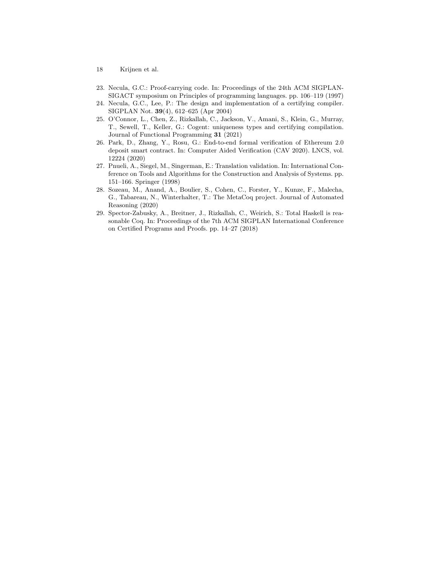- 18 Krijnen et al.
- <span id="page-17-2"></span>23. Necula, G.C.: Proof-carrying code. In: Proceedings of the 24th ACM SIGPLAN-SIGACT symposium on Principles of programming languages. pp. 106–119 (1997)
- <span id="page-17-3"></span>24. Necula, G.C., Lee, P.: The design and implementation of a certifying compiler. SIGPLAN Not. 39(4), 612–625 (Apr 2004)
- <span id="page-17-6"></span>25. O'Connor, L., Chen, Z., Rizkallah, C., Jackson, V., Amani, S., Klein, G., Murray, T., Sewell, T., Keller, G.: Cogent: uniqueness types and certifying compilation. Journal of Functional Programming 31 (2021)
- <span id="page-17-0"></span>26. Park, D., Zhang, Y., Rosu, G.: End-to-end formal verification of Ethereum 2.0 deposit smart contract. In: Computer Aided Verification (CAV 2020). LNCS, vol. 12224 (2020)
- <span id="page-17-1"></span>27. Pnueli, A., Siegel, M., Singerman, E.: Translation validation. In: International Conference on Tools and Algorithms for the Construction and Analysis of Systems. pp. 151–166. Springer (1998)
- <span id="page-17-5"></span>28. Sozeau, M., Anand, A., Boulier, S., Cohen, C., Forster, Y., Kunze, F., Malecha, G., Tabareau, N., Winterhalter, T.: The MetaCoq project. Journal of Automated Reasoning (2020)
- <span id="page-17-4"></span>29. Spector-Zabusky, A., Breitner, J., Rizkallah, C., Weirich, S.: Total Haskell is reasonable Coq. In: Proceedings of the 7th ACM SIGPLAN International Conference on Certified Programs and Proofs. pp. 14–27 (2018)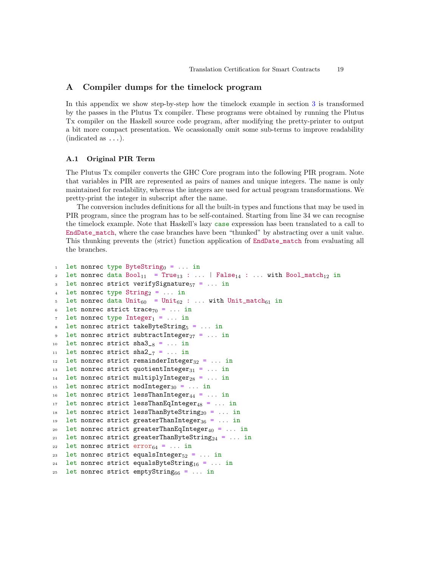### <span id="page-18-0"></span>A Compiler dumps for the timelock program

In this appendix we show step-by-step how the timelock example in section [3](#page-5-0) is transformed by the passes in the Plutus Tx compiler. These programs were obtained by running the Plutus Tx compiler on the Haskell source code program, after modifying the pretty-printer to output a bit more compact presentation. We ocassionally omit some sub-terms to improve readability (indicated as ...).

### A.1 Original PIR Term

The Plutus Tx compiler converts the GHC Core program into the following PIR program. Note that variables in PIR are represented as pairs of names and unique integers. The name is only maintained for readability, whereas the integers are used for actual program transformations. We pretty-print the integer in subscript after the name.

The conversion includes definitions for all the built-in types and functions that may be used in PIR program, since the program has to be self-contained. Starting from line 34 we can recognise the timelock example. Note that Haskell's lazy case expression has been translated to a call to EndDate\_match, where the case branches have been "thunked" by abstracting over a unit value. This thunking prevents the (strict) function application of EndDate\_match from evaluating all the branches.

```
1 let nonrec type ByteString_0 = ... in
 2 let nonrec data Bool_{11} = True_{13} : ... | False_{14} : ... with Bool\_match_{12} in
3 let nonrec strict verifySignature_{57} = ... in
4 let nonrec type String<sub>2</sub> = \dots in
 5 let nonrec data Unit<sub>60</sub> = Unit<sub>62</sub> : ... with Unit_match<sub>61</sub> in
6 let nonrec strict trace<sub>70</sub> = ... in
 7 let nonrec type Integer<sub>1</sub> = ... in
s let nonrec strict takeByteString5 = ... in
9 let nonrec strict subtractInteger<sub>27</sub> = ... in
10 let nonrec strict sha3_{-8} = ... in
11 let nonrec strict sha2_7 = ... in
12 let nonrec strict remainderInteger_{32} = ... in
13 let nonrec strict quotientInteger_{31} = ... in
14 let nonrec strict multiplyInteger<sub>28</sub> = \dots in
15 let nonrec strict modInteger<sub>30</sub> = ... in
16 let nonrec strict lessThanInteger<sub>44</sub> = ... in
17 let nonrec strict lessThanEqInteger<sub>48</sub> = ... in
18 let nonrec strict lessThanByteString<sub>20</sub> = ... in
19 let nonrec strict greaterThanInteger<sub>36</sub> = ... in
20 let nonrec strict greaterThanEqInteger<sub>40</sub> = ... in
21 let nonrec strict greaterThanByteString<sub>24</sub> = ... in
22 let nonrec strict error64 = ... in
23 let nonrec strict equalsInteger_{52} = ... in
24 let nonrec strict equalsByteString<sub>16</sub> = ... in
25 let nonrec strict emptyString66 = ... in
```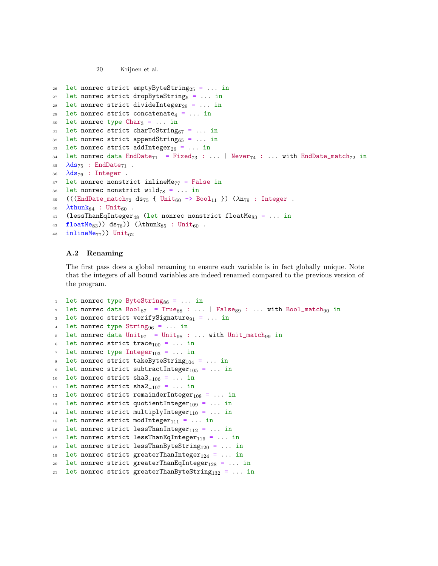```
20 Krijnen et al.
26 let nonrec strict emptyByteString<sub>25</sub> = \dots in
27 let nonrec strict dropByteString6 = ... in
28 let nonrec strict divideInteger_{29} = ... in
29 let nonrec strict concatenate<sub>4</sub> = \dots in
30 let nonrec type Char<sub>3</sub> = ... in
31 let nonrec strict charToString67 = ... in
32 let nonrec strict appendString65 = ... in
33 let nonrec strict addInteger<sub>26</sub> = ... in
34 let nonrec data EndDate<sub>71</sub> = Fixed<sub>73</sub> : ... | Never<sub>74</sub> : ... with EndDate_match<sub>72</sub> in
35 \lambdads<sub>75</sub> : EndDate<sub>71</sub> .
36 \lambdads<sub>76</sub> : Integer.
37 let nonrec nonstrict inlineMe<sub>77</sub> = False in
38 let nonrec nonstrict wild_{78} = ... in
39 (((EndDate_match<sub>72</sub> ds<sub>75</sub> { Unit<sub>60</sub> -> Bool<sub>11</sub> }) (\lambdan<sub>79</sub> : Integer .
40 \lambdathunk<sub>84</sub> : Unit<sub>60</sub>.
41 (lessThanEqInteger<sub>48</sub> (let nonrec nonstrict floatMe<sub>83</sub> = ... in
floatMe_{83}) ds<sub>76</sub>)) (\lambdathunk<sub>85</sub> : Unit<sub>60</sub>.
43 inlineMe<sub>77</sub>)) Unit<sub>62</sub>
```
### A.2 Renaming

The first pass does a global renaming to ensure each variable is in fact globally unique. Note that the integers of all bound variables are indeed renamed compared to the previous version of the program.

```
1 let nonrec type ByteString86 = ... in
2 let nonrec data Bool<sub>87</sub> = True<sub>88</sub> : ... | False<sub>89</sub> : ... with Bool_match<sub>90</sub> in
3 let nonrec strict verifySignature91 = ... in
4 let nonrec type String96 = ... in
 5 let nonrec data Unit<sub>97</sub> = Unit<sub>98</sub> : ... with Unit_match<sub>99</sub> in
6 let nonrec strict trace<sub>100</sub> = ... in
   let nonrec type Integer_{103} = ... in
   1et nonrec strict takeByteString_{104} = ... in
9 let nonrec strict subtractInteger_{105} = ... in
10 let nonrec strict sha3_{-106} = ... in
11 let nonrec strict sha2_{-107} = ... in
12 let nonrec strict remainderInteger_{108} = ... in
13 let nonrec strict quotientInteger<sub>109</sub> = ... in
14 let nonrec strict multiplyInteger_{110} = ... in
15 let nonrec strict modInteger_{111} = ... in
16 let nonrec strict lessThanInteger<sub>112</sub> = ... in
17 let nonrec strict lessThanEqInteger116 = ... in
18 let nonrec strict lessThanByteString_{120} = ... in
19 let nonrec strict greaterThanInteger<sub>124</sub> = ... in
20 let nonrec strict greaterThanEqInteger_{128} = ... in
21 let nonrec strict greaterThanByteString_{132} = ... in
```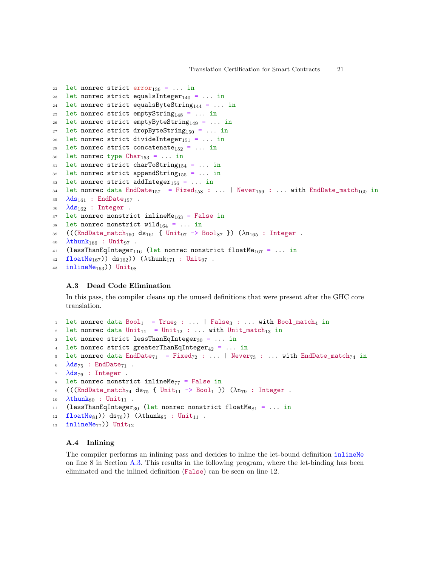```
22 let nonrec strict error_{136} = ... in
23 let nonrec strict equalsInteger<sub>140</sub> = ... in
24 let nonrec strict equalsByteString<sub>144</sub> = ... in
25 let nonrec strict emptyString_{148} = ... in
26 let nonrec strict emptyByteString<sub>149</sub> = ... in
27 let nonrec strict dropByteString<sub>150</sub> = ... in
28 let nonrec strict divideInteger<sub>151</sub> = ... in
29 let nonrec strict concatenate<sub>152</sub> = \dots in
30 let nonrec type Char<sub>153</sub> = ... in
31 let nonrec strict charToString<sub>154</sub> = ... in
32 let nonrec strict appendString<sub>155</sub> = ... in
33 let nonrec strict addInteger_{156} = ... in
34 let nonrec data EndDate<sub>157</sub> = Fixed<sub>158</sub> : ... | Never<sub>159</sub> : ... with EndDate_match<sub>160</sub> in
35 \lambdads<sub>161</sub> : EndDate<sub>157</sub>.
36 \lambdads<sub>162</sub> : Integer.
37 let nonrec nonstrict inlineMe<sub>163</sub> = False in
38 let nonrec nonstrict wild_{164} = ... in
39 (((EndDate_match<sub>160</sub> ds<sub>161</sub> { Unit<sub>97</sub> -> Bool<sub>87</sub> }) (\lambdan<sub>165</sub> : Integer .
40 \lambdathunk<sub>166</sub> : Unit<sub>97</sub>.
41 (lessThanEqInteger<sub>116</sub> (let nonrec nonstrict floatMe<sub>167</sub> = ... in
_{42} floatMe<sub>167</sub>)) ds<sub>162</sub>)) (\lambdathunk<sub>171</sub> : Unit<sub>97</sub>.
43 inlineMe<sub>163</sub>) Unit<sub>98</sub>
```
### <span id="page-20-0"></span>A.3 Dead Code Elimination

In this pass, the compiler cleans up the unused definitions that were present after the GHC core translation.

```
1 let nonrec data Bool<sub>1</sub> = True<sub>2</sub> : ... | False<sub>3</sub> : ... with Bool_match<sub>4</sub> in
2 let nonrec data Unit<sub>11</sub> = Unit<sub>12</sub> : ... with Unit_match<sub>13</sub> in
3 let nonrec strict lessThanEqInteger_{30} = ... in
4 let nonrec strict greaterThanEqInteger<sub>42</sub> = ... in
5 let nonrec data EndDate<sub>71</sub> = Fixed<sub>72</sub> : ... | Never<sub>73</sub> : ... with EndDate_match<sub>74</sub> in
6 - \lambda ds_{75} : EndDate<sub>71</sub>.
7 \text{~} \text{Ads}_{76} : Integer .
s let nonrec nonstrict inlineMe<sub>77</sub> = False in
9 (((EndDate_match<sub>74</sub> ds<sub>75</sub> { Unit<sub>11</sub> -> Bool<sub>1</sub> }) (\lambdan<sub>79</sub> : Integer .
10 \lambdathunk<sub>80</sub> : Unit<sub>11</sub> .
11 (lessThanEqInteger<sub>30</sub> (let nonrec nonstrict floatMe<sub>81</sub> = ... in
12 floatMe_{81}) ds<sub>76</sub>)) (\lambdathunk<sub>85</sub> : Unit<sub>11</sub>.
13 inlineMe<sub>77</sub>)) Unit<sub>12</sub>
```
## A.4 Inlining

The compiler performs an inlining pass and decides to inline the let-bound definition inlineMe on line 8 in Section [A.3.](#page-20-0) This results in the following program, where the let-binding has been eliminated and the inlined definition (False) can be seen on line 12.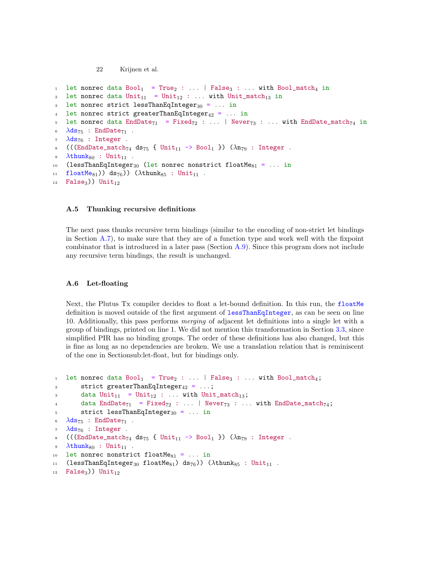```
1 let nonrec data Bool_1 = True_2 : ... | False<sub>3</sub> : ... with Bool_match<sub>4</sub> in
2 let nonrec data Unit<sub>11</sub> = Unit<sub>12</sub> : ... with Unit_match<sub>13</sub> in
3 let nonrec strict lessThanEqInteger_{30} = ... in
4 let nonrec strict greaterThanEqInteger_{42} = ... in
 5 let nonrec data EndDate<sub>71</sub> = Fixed<sub>72</sub> : ... | Never<sub>73</sub> : ... with EndDate_match<sub>74</sub> in
6 \lambdads<sub>75</sub> : EndDate<sub>71</sub> .
7 \text{ } \lambdads_{76} : Integer .
8 (((EndDate_match<sub>74</sub> ds<sub>75</sub> { Unit<sub>11</sub> -> Bool<sub>1</sub> }) (\lambdan<sub>79</sub> : Integer .
9 \lambdathunk_{80} : Unit<sub>11</sub>.
10 (lessThanEqInteger<sub>30</sub> (let nonrec nonstrict floatMe<sub>81</sub> = ... in
11 floatMe_{81}) ds<sub>76</sub>)) (\lambdathunk<sub>85</sub> : Unit<sub>11</sub>.
12 False<sub>3</sub>)) Unit<sub>12</sub>
```
### A.5 Thunking recursive definitions

The next pass thunks recursive term bindings (similar to the encoding of non-strict let bindings in Section [A.7\)](#page-22-0), to make sure that they are of a function type and work well with the fixpoint combinator that is introduced in a later pass (Section [A.9\)](#page-23-0). Since this program does not include any recursive term bindings, the result is unchanged.

### A.6 Let-floating

Next, the Plutus Tx compiler decides to float a let-bound definition. In this run, the float Me definition is moved outside of the first argument of lessThanEqInteger, as can be seen on line 10. Additionally, this pass performs merging of adjacent let definitions into a single let with a group of bindings, printed on line 1. We did not mention this transformation in Section [3.3,](#page-9-0) since simplified PIR has no binding groups. The order of these definitions has also changed, but this is fine as long as no dependencies are broken. We use a translation relation that is reminiscent of the one in Sectionsub:let-float, but for bindings only.

```
1 let nonrec data Bool_1 = True_2 : ... | False<sub>3</sub> : ... with Bool_match<sub>4</sub>;
2 strict greaterThanEqInteger<sub>42</sub> = \dots;
3 data Unit_{11} = Unit_{12} : ... with Unit\_match_{13};4 data EndDate<sub>71</sub> = Fixed<sub>72</sub> : ... | Never<sub>73</sub> : ... with EndDate_match<sub>74</sub>;
5 strict lessThanEqInteger<sub>30</sub> = ... in
6 \lambdads<sub>75</sub> : EndDate<sub>71</sub> .
7 \text{~} \text{Ads}_{76} : Integer .
8 (((EndDate_match<sub>74</sub> ds<sub>75</sub> { Unit<sub>11</sub> -> Bool<sub>1</sub> }) (\lambdan<sub>79</sub> : Integer .
9 \lambdathunk_{80} : Unit<sub>11</sub>.
10 let nonrec nonstrict floatMe<sub>81</sub> = ... in
11 (lessThanEqInteger<sub>30</sub> floatMe<sub>81</sub>) ds<sub>76</sub>)) (\lambdathunk<sub>85</sub> : Unit<sub>11</sub>.
12 False<sub>3</sub>)) Unit<sub>12</sub>
```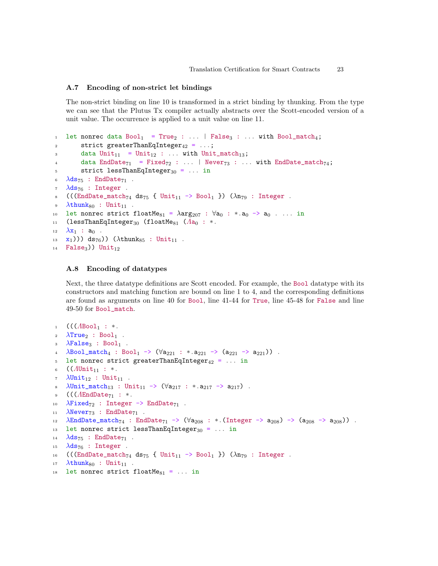#### <span id="page-22-0"></span>A.7 Encoding of non-strict let bindings

The non-strict binding on line 10 is transformed in a strict binding by thunking. From the type we can see that the Plutus Tx compiler actually abstracts over the Scott-encoded version of a unit value. The occurrence is applied to a unit value on line 11.

```
1 let nonrec data Bool_1 = True_2 : ... | False<sub>3</sub> : ... with Bool_match<sub>4</sub>;
2 strict greaterThanEqInteger<sub>42</sub> = \dots;
 3 data Unit_{11} = Unit_{12} : ... with Unit\_match_{13};4 data EndDate<sub>71</sub> = Fixed<sub>72</sub> : ... | Never<sub>73</sub> : ... with EndDate_match<sub>74</sub>;
5 strict lessThanEqInteger<sub>30</sub> = ... in
6 \lambdads<sub>75</sub> : EndDate<sub>71</sub> .
7 \lambda ds_{76} : Integer.
8 (((EndDate_match<sub>74</sub> ds<sub>75</sub> { Unit<sub>11</sub> -> Bool<sub>1</sub> }) (\lambdan<sub>79</sub> : Integer .
9 \lambdathunk_{80} : Unit<sub>11</sub>.
10 let nonrec strict floatMe<sub>81</sub> = \lambda \arg_{207} : \forall a_0 : *.a<sub>0</sub> -> a<sub>0</sub> . ... in
11 (lessThanEqInteger<sub>30</sub> (floatMe<sub>81</sub> (\Lambdaa<sub>0</sub> : *.
12 \quad \lambda x_1 : a_0 .
(x_1, x_1))) ds<sub>76</sub>)) (\lambdathunk<sub>85</sub> : Unit<sub>11</sub>.
14 False<sub>3</sub>)) Unit<sub>12</sub>
```
# <span id="page-22-1"></span>A.8 Encoding of datatypes

Next, the three datatype definitions are Scott encoded. For example, the Bool datatype with its constructors and matching function are bound on line 1 to 4, and the corresponding definitions are found as arguments on line 40 for Bool, line 41-44 for True, line 45-48 for False and line 49-50 for Bool\_match.

```
1 (((\triangle A \text{Bool}_1 : *.
 2 \lambdaTrue<sub>2</sub> : Bool<sub>1</sub> .
\lambdaFalse<sub>3</sub> : Bool<sub>1</sub>.
 4 \lambdaBool_match<sub>4</sub> : Bool<sub>1</sub> -> (\forall a_{221} : *a_{221} \rightarrow (a_{221} \rightarrow a_{221})).
 5 let nonrec strict greaterThanEqInteger<sub>42</sub> = ... in
6 ((\text{AUnit}_{11} : *).\tau \lambdaUnit<sub>12</sub> : Unit<sub>11</sub> .
     \lambdaUnit_match<sub>13</sub> : Unit<sub>11</sub> -> (\foralla<sub>217</sub> : *.a<sub>217</sub> -> a<sub>217</sub>).
9 ((\LambdaEndDate<sub>71</sub> : *.
10 \lambdaFixed<sub>72</sub> : Integer -> EndDate<sub>71</sub> .
11 \lambdaNever<sub>73</sub> : EndDate<sub>71</sub> .
12 \lambdaEndDate_match<sub>74</sub> : EndDate<sub>71</sub> -> (\forall a_{208} : *. (Integer -> a<sub>208</sub>) -> (a<sub>208</sub> -> a<sub>208</sub>)).
13 let nonrec strict lessThanEqInteger_{30} = ... in
14 \lambdads<sub>75</sub> : EndDate<sub>71</sub> .
15 \lambdads<sub>76</sub> : Integer.
16 (((EndDate_match<sub>74</sub> ds<sub>75</sub> { Unit<sub>11</sub> -> Bool<sub>1</sub> }) (\lambdan<sub>79</sub> : Integer .
17 \lambdathunk<sub>80</sub> : Unit<sub>11</sub>.
18 let nonrec strict floatMe_{81} = ... in
```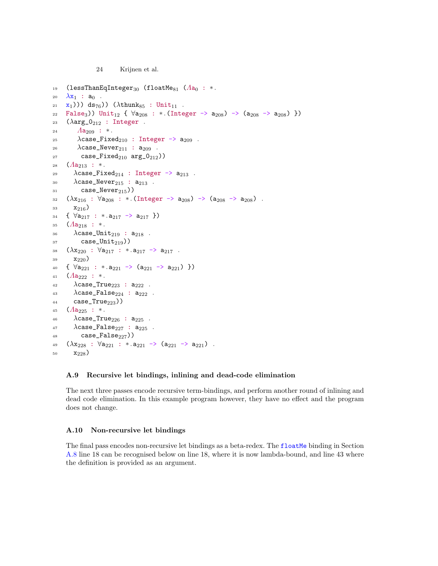```
19 (lessThanEqInteger<sub>30</sub> (floatMe<sub>81</sub> (\Lambdaa<sub>0</sub> : *.
20 \lambdax<sub>1</sub> : a<sub>0</sub>.
(21 \quad x_1))) ds<sub>76</sub>)) (\lambdathunk<sub>85</sub> : Unit<sub>11</sub>.
22 False<sub>3</sub>)) Unit<sub>12</sub> { \forall a_{208} : *. (Integer -> a<sub>208</sub>) -> (a<sub>208</sub> -> a<sub>208</sub>) })
23 (\lambdaarg_0<sub>212</sub> : Integer .
24 Aa_{209} : *.
25 \lambdacase_Fixed<sub>210</sub> : Integer \rightarrow a<sub>209</sub> .
\lambdacase_Never<sub>211</sub> : a<sub>209</sub>.
27 case_Fixed<sub>210</sub> arg_0_{212}))
28 (Aa_{213} : *.
29 \lambdacase_Fixed<sub>214</sub> : Integer \rightarrow a<sub>213</sub>.
30 \lambdacase_Never<sub>215</sub> : a<sub>213</sub> .
_{31} case_Never<sub>215</sub>))
32 (\lambda x_{216} : \forall a_{208} : * (Integer \rightarrow a_{208}) \rightarrow (a_{208} \rightarrow a_{208}).
33 x_{216}34 { \foralla<sub>217</sub> : *.a<sub>217</sub> -> a<sub>217</sub> })
35 \quad (\Lambdaa<sub>218</sub> : *.
36 \lambdacase_Unit<sub>219</sub> : a<sub>218</sub> .
37 \text{ case}_Unit<sub>219</sub>))
38 (\lambdax<sub>220</sub> : \foralla<sub>217</sub> : *.a<sub>217</sub> -> a<sub>217</sub>.
39 x_{220}40 { \forall a_{221} : *a_{221} \rightarrow (a_{221} \rightarrow a_{221}) })
41 (Aa_{222}: *.
\lambdacase_True<sub>223</sub> : a<sub>222</sub>.
\lambdacase_False<sub>224</sub> : a<sub>222</sub>.
44 case_True_{223}))
45 (Aa_{225} : *.
\lambdacase_True<sub>226</sub> : a<sub>225</sub>.
\lambdacase_False<sub>227</sub> : a<sub>225</sub>.
48 case_False_{227})49 (\lambdax<sub>228</sub> : \foralla<sub>221</sub> : *.a<sub>221</sub> -> (a<sub>221</sub> -> a<sub>221</sub>).
_{50} x_{228}
```
# <span id="page-23-0"></span>A.9 Recursive let bindings, inlining and dead-code elimination

The next three passes encode recursive term-bindings, and perform another round of inlining and dead code elimination. In this example program however, they have no effect and the program does not change.

# A.10 Non-recursive let bindings

The final pass encodes non-recursive let bindings as a beta-redex. The floatMe binding in Section [A.8](#page-22-1) line 18 can be recognised below on line 18, where it is now lambda-bound, and line 43 where the definition is provided as an argument.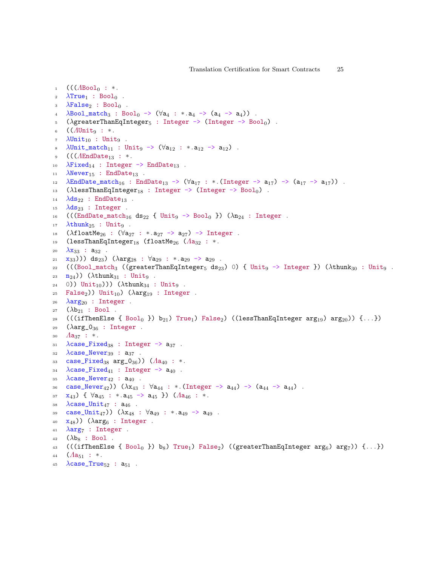```
1 (((A\text{Bool}_0 : *).2 \lambdaTrue<sub>1</sub> : Bool<sub>0</sub> .
 \lambdaFalse<sub>2</sub> : Bool<sub>0</sub> .
 4 \lambdaBool_match<sub>3</sub> : Bool<sub>0</sub> -> (\foralla<sub>4</sub> : *.a<sub>4</sub> -> (a<sub>4</sub> -> a<sub>4</sub>)).
 5 \quad (\lambdagreaterThanEqInteger<sub>5</sub> : Integer \rightarrow (Integer \rightarrow Bool<sub>0</sub>).
 6 ((\LambdaUnitg : *.
 7 \lambdaUnit<sub>10</sub> : Unit<sub>9</sub> .
 s \lambdaUnit_match<sub>11</sub> : Unit<sub>9</sub> -> (\forall a_{12} : * a_{12} \rightarrow a_{12}).
9 ((\LambdaEndDate<sub>13</sub> : *.
10 \lambdaFixed<sub>14</sub> : Integer \rightarrow EndDate<sub>13</sub> .
11 \lambdaNever<sub>15</sub> : EndDate<sub>13</sub>.
12 \lambdaEndDate_match<sub>16</sub> : EndDate<sub>13</sub> -> (\forall a_{17} : *. (Integer -> a_{17}) -> (a_{17} -> a_{17})).
13 (\lambdalessThanEqInteger<sub>18</sub> : Integer -> (Integer -> Bool<sub>0</sub>).
14 \lambdads<sub>22</sub> : EndDate<sub>13</sub> .
15 \lambdads<sub>23</sub> : Integer .
16 (((EndDate_match<sub>16</sub> ds<sub>22</sub> { Unit<sub>9</sub> \rightarrow Bool<sub>0</sub> }) (\lambdan<sub>24</sub> : Integer .
17 \lambdathunk<sub>25</sub> : Unit<sub>9</sub> .
18 (\lambdafloatMe<sub>26</sub> : (\foralla<sub>27</sub> : *.a<sub>27</sub> -> a<sub>27</sub>) -> Integer.
19 (lessThanEqInteger<sub>18</sub> (floatMe<sub>26</sub> (\Lambdaa<sub>32</sub> : *.
20 \lambdax<sub>33</sub> : a<sub>32</sub>.
21 x_{33}))) ds<sub>23</sub>) (\lambdaarg<sub>28</sub> : \foralla<sub>29</sub> : *.a<sub>29</sub> -> a<sub>29</sub>.
22 (((Bool_match<sub>3</sub> ((greaterThanEqInteger<sub>5</sub> ds<sub>23</sub>) 0) { Unit<sub>9</sub> -> Integer }) (\lambdathunk<sub>30</sub> : Unit<sub>9</sub> .
(n_{24})) (\lambdathunk<sub>31</sub> : Unit<sub>9</sub>.
_{24} (0)) Unit<sub>10</sub>))) (\lambdathunk<sub>34</sub> : Unit<sub>9</sub>.
25 False<sub>2</sub>)) Unit<sub>10</sub>) (\lambdaarg<sub>19</sub> : Integer.
26 \lambdaarg<sub>20</sub> : Integer .
27 (\lambda b_{21} : \text{Bool}.
28 (((ifThenElse { Bool<sub>0</sub> }) b<sub>21</sub>) True<sub>1</sub>) False<sub>2</sub>) ((lessThanEqInteger arg<sub>19</sub>) arg<sub>20</sub>)) {...})
29 (\lambda \arg_0 0_{36} : \text{Integer}.
30 Aa_{37} : *.
31 \lambdacase_Fixed<sub>38</sub> : Integer \rightarrow a<sub>37</sub>.
32 \text{ \ } \lambda \text{case\_Never}_{39} : a_{37} .33 case_Fixed<sub>38</sub> arg_0<sub>36</sub>)) (\Lambdaa<sub>40</sub> : *.
34 \lambdacase_Fixed<sub>41</sub> : Integer \rightarrow a<sub>40</sub>.
35 \lambdacase_Never<sub>42</sub> : a<sub>40</sub> .
36 case_Never<sub>42</sub>)) (\lambda x_{43} : \forall a_{44} : *. (Integer \rightarrow a_{44}) \rightarrow (a<sub>44</sub> \rightarrow a_{44}).
37 \quad x_{43}) { \forall a_{45} : *a_{45} \rightarrow a_{45} }) (\Lambda a_{46} : *.
38 \lambdacase_Unit<sub>47</sub> : a_{46}.
39 case_Unit<sub>47</sub>)) (\lambda x_{48} : \forall a_{49} : * a_{49} \rightarrow a_{49}.
(x_{48})) (\lambda \text{arg}_6 : Integer .
41 \lambdaarg<sub>7</sub> : Integer .
42 (\lambda b_8 : Bool.
43 (((ifThenElse { Bool<sub>0</sub> }) b<sub>8</sub>) True<sub>1</sub>) False<sub>2</sub>) ((greaterThanEqInteger arg<sub>6</sub>) arg<sub>7</sub>)) {...})
44 (Aa_{51} : *.
45 \lambdacase_True<sub>52</sub> : a<sub>51</sub>.
```